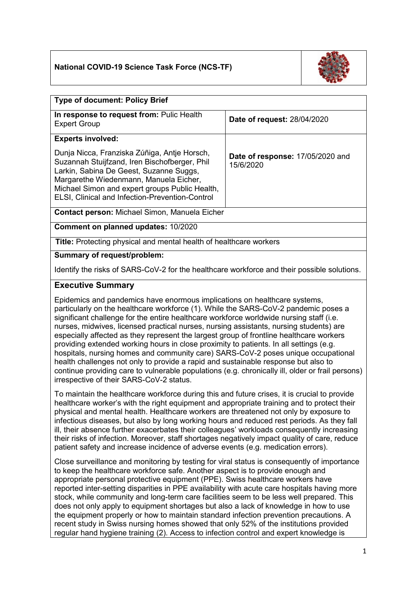## **National COVID-19 Science Task Force (NCS-TF)**



| <b>Type of document: Policy Brief</b>                                                                                                                                                                                                                                                   |                                               |
|-----------------------------------------------------------------------------------------------------------------------------------------------------------------------------------------------------------------------------------------------------------------------------------------|-----------------------------------------------|
| In response to request from: Pulic Health<br><b>Expert Group</b>                                                                                                                                                                                                                        | <b>Date of request: 28/04/2020</b>            |
| <b>Experts involved:</b>                                                                                                                                                                                                                                                                |                                               |
| Dunja Nicca, Franziska Zúñiga, Antje Horsch,<br>Suzannah Stuijfzand, Iren Bischofberger, Phil<br>Larkin, Sabina De Geest, Suzanne Suggs,<br>Margarethe Wiedenmann, Manuela Eicher,<br>Michael Simon and expert groups Public Health,<br>ELSI, Clinical and Infection-Prevention-Control | Date of response: 17/05/2020 and<br>15/6/2020 |
| <b>Contact person: Michael Simon, Manuela Eicher</b>                                                                                                                                                                                                                                    |                                               |

**Comment on planned updates:** 10/2020

**Title:** Protecting physical and mental health of healthcare workers

#### **Summary of request/problem:**

Identify the risks of SARS-CoV-2 for the healthcare workforce and their possible solutions.

#### **Executive Summary**

Epidemics and pandemics have enormous implications on healthcare systems, particularly on the healthcare workforce [\(1\).](http://sciwheel.com/work/citation?ids=8880265&pre=&suf=&sa=0) While the SARS-CoV-2 pandemic poses a significant challenge for the entire healthcare workforce worldwide nursing staff (i.e. nurses, midwives, licensed practical nurses, nursing assistants, nursing students) are especially affected as they represent the largest group of frontline healthcare workers providing extended working hours in close proximity to patients. In all settings (e.g. hospitals, nursing homes and community care) SARS-CoV-2 poses unique occupational health challenges not only to provide a rapid and sustainable response but also to continue providing care to vulnerable populations (e.g. chronically ill, older or frail persons) irrespective of their SARS-CoV-2 status.

To maintain the healthcare workforce during this and future crises, it is crucial to provide healthcare worker's with the right equipment and appropriate training and to protect their physical and mental health. Healthcare workers are threatened not only by exposure to infectious diseases, but also by long working hours and reduced rest periods. As they fall ill, their absence further exacerbates their colleagues' workloads consequently increasing their risks of infection. Moreover, staff shortages negatively impact quality of care, reduce patient safety and increase incidence of adverse events (e.g. medication errors).

Close surveillance and monitoring by testing for viral status is consequently of importance to keep the healthcare workforce safe. Another aspect is to provide enough and appropriate personal protective equipment (PPE). Swiss healthcare workers have reported inter-setting disparities in PPE availability with acute care hospitals having more stock, while community and long-term care facilities seem to be less well prepared. This does not only apply to equipment shortages but also a lack of knowledge in how to use the equipment properly or how to maintain standard infection prevention precautions. A recent study in Swiss nursing homes showed that only 52% of the institutions provided regular hand hygiene training [\(2\).](http://sciwheel.com/work/citation?ids=8882025&pre=&suf=&sa=0) Access to infection control and expert knowledge is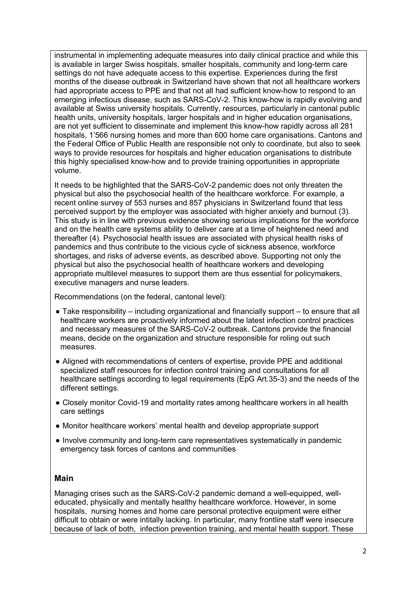instrumental in implementing adequate measures into daily clinical practice and while this is available in larger Swiss hospitals, smaller hospitals, community and long-term care settings do not have adequate access to this expertise. Experiences during the first months of the disease outbreak in Switzerland have shown that not all healthcare workers had appropriate access to PPE and that not all had sufficient know-how to respond to an emerging infectious disease, such as SARS-CoV-2. This know-how is rapidly evolving and available at Swiss university hospitals. Currently, resources, particularly in cantonal public health units, university hospitals, larger hospitals and in higher education organisations, are not yet sufficient to disseminate and implement this know-how rapidly across all 281 hospitals, 1'566 nursing homes and more than 600 home care organisations. Cantons and the Federal Office of Public Health are responsible not only to coordinate, but also to seek ways to provide resources for hospitals and higher education organisations to distribute this highly specialised know-how and to provide training opportunities in appropriate volume.

It needs to be highlighted that the SARS-CoV-2 pandemic does not only threaten the physical but also the psychosocial health of the healthcare workforce. For example, a recent online survey of 553 nurses and 857 physicians in Switzerland found that less perceived support by the employer was associated with higher anxiety and burnout [\(3\).](http://sciwheel.com/work/citation?ids=8882464&pre=&suf=&sa=0) This study is in line with previous evidence showing serious implications for the workforce and on the health care systems ability to deliver care at a time of heightened need and thereafter [\(4\).](http://sciwheel.com/work/citation?ids=3946300&pre=&suf=&sa=0) Psychosocial health issues are associated with physical health risks of pandemics and thus contribute to the vicious cycle of sickness absence, workforce shortages, and risks of adverse events, as described above. Supporting not only the physical but also the psychosocial health of healthcare workers and developing appropriate multilevel measures to support them are thus essential for policymakers, executive managers and nurse leaders.

Recommendations (on the federal, cantonal level):

- $\bullet$  Take responsibility including organizational and financially support to ensure that all healthcare workers are proactively informed about the latest infection control practices and necessary measures of the SARS-CoV-2 outbreak. Cantons provide the financial means, decide on the organization and structure responsible for roling out such measures.
- Aligned with recommendations of centers of expertise, provide PPE and additional specialized staff resources for infection control training and consultations for all healthcare settings according to legal requirements (EpG Art.35-3) and the needs of the different settings.
- Closely monitor Covid-19 and mortality rates among healthcare workers in all health care settings
- Monitor healthcare workers' mental health and develop appropriate support
- Involve community and long-term care representatives systematically in pandemic emergency task forces of cantons and communities

#### **Main**

Managing crises such as the SARS-CoV-2 pandemic demand a well-equipped, welleducated, physically and mentally healthy healthcare workforce. However, in some hospitals, nursing homes and home care personal protective equipment were either difficult to obtain or were intitally lacking. In particular, many frontline staff were insecure because of lack of both, infection prevention training, and mental health support. These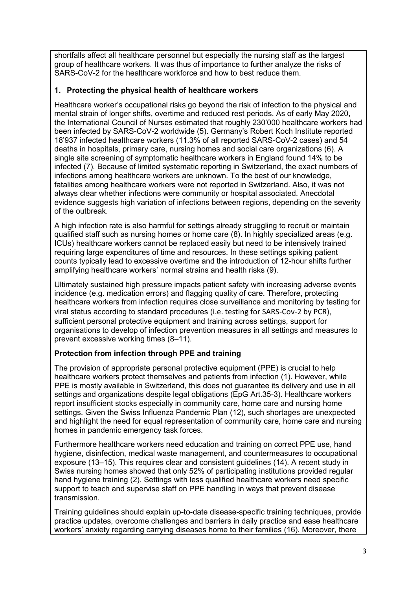shortfalls affect all healthcare personnel but especially the nursing staff as the largest group of healthcare workers. It was thus of importance to further analyze the risks of SARS-CoV-2 for the healthcare workforce and how to best reduce them.

### **1. Protecting the physical health of healthcare workers**

Healthcare worker's occupational risks go beyond the risk of infection to the physical and mental strain of longer shifts, overtime and reduced rest periods. As of early May 2020, the International Council of Nurses estimated that roughly 230'000 healthcare workers had been infected by SARS-CoV-2 worldwide [\(5\)](http://sciwheel.com/work/citation?ids=8880274&pre=&suf=&sa=0). Germany's Robert Koch Institute reported 18'937 infected healthcare workers (11.3% of all reported SARS-CoV-2 cases) and 54 deaths in hospitals, primary care, nursing homes and social care organizations [\(6\).](http://sciwheel.com/work/citation?ids=8880280&pre=&suf=&sa=0) A single site screening of symptomatic healthcare workers in England found 14% to be infected [\(7\).](http://sciwheel.com/work/citation?ids=8772112&pre=&suf=&sa=0) Because of limited systematic reporting in Switzerland, the exact numbers of infections among healthcare workers are unknown. To the best of our knowledge, fatalities among healthcare workers were not reported in Switzerland. Also, it was not always clear whether infections were community or hospital associated. Anecdotal evidence suggests high variation of infections between regions, depending on the severity of the outbreak.

A high infection rate is also harmful for settings already struggling to recruit or maintain qualified staff such as nursing homes or home care [\(8\).](http://sciwheel.com/work/citation?ids=8902566&pre=&suf=&sa=0) In highly specialized areas (e.g. ICUs) healthcare workers cannot be replaced easily but need to be intensively trained requiring large expenditures of time and resources. In these settings spiking patient counts typically lead to excessive overtime and the introduction of 12-hour shifts further amplifying healthcare workers' normal strains and health risks [\(9\).](http://sciwheel.com/work/citation?ids=7471591&pre=&suf=&sa=0)

Ultimately sustained high pressure impacts patient safety with increasing adverse events incidence (e.g. medication errors) and flagging quality of care. Therefore, protecting healthcare workers from infection requires close surveillance and monitoring by testing for viral status according to standard procedures (i.e. testing for SARS-Cov-2 by PCR), sufficient personal protective equipment and training across settings, support for organisations to develop of infection prevention measures in all settings and measures to prevent excessive working times (8–[11\).](http://sciwheel.com/work/citation?ids=8902577,8902574,8902566,7471591&pre=&pre=&pre=&pre=&suf=&suf=&suf=&suf=&sa=0,0,0,0)

# **Protection from infection through PPE and training**

The provision of appropriate personal protective equipment (PPE) is crucial to help healthcare workers protect themselves and patients from infection [\(1\).](http://sciwheel.com/work/citation?ids=8880265&pre=&suf=&sa=0) However, while PPE is mostly available in Switzerland, this does not quarantee its delivery and use in all settings and organizations despite legal obligations (EpG Art.35-3). Healthcare workers report insufficient stocks especially in community care, home care and nursing home settings. Given the Swiss Influenza Pandemic Plan [\(12\),](http://sciwheel.com/work/citation?ids=8897589&pre=&suf=&sa=0) such shortages are unexpected and highlight the need for equal representation of community care, home care and nursing homes in pandemic emergency task forces.

Furthermore healthcare workers need education and training on correct PPE use, hand hygiene, disinfection, medical waste management, and countermeasures to occupational exposure [\(13](http://sciwheel.com/work/citation?ids=8771897,8773657,8599358&pre=&pre=&pre=&suf=&suf=&suf=&sa=0,0,0)–15). This requires clear and consistent guidelines [\(14\).](http://sciwheel.com/work/citation?ids=8773657&pre=&suf=&sa=0) A recent study in Swiss nursing homes showed that only 52% of participating institutions provided regular hand hygiene training [\(2\).](http://sciwheel.com/work/citation?ids=8882025&pre=&suf=&sa=0) Settings with less qualified healthcare workers need specific support to teach and supervise staff on PPE handling in ways that prevent disease transmission.

Training guidelines should explain up-to-date disease-specific training techniques, provide practice updates, overcome challenges and barriers in daily practice and ease healthcare workers' anxiety regarding carrying diseases home to their families [\(16\).](http://sciwheel.com/work/citation?ids=8903137&pre=&suf=&sa=0) Moreover, there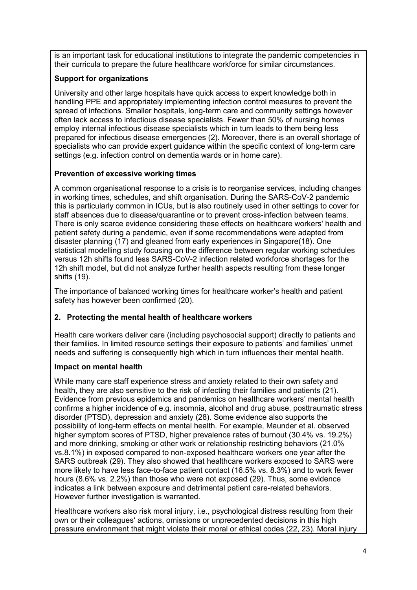is an important task for educational institutions to integrate the pandemic competencies in their curricula to prepare the future healthcare workforce for similar circumstances.

## **Support for organizations**

University and other large hospitals have quick access to expert knowledge both in handling PPE and appropriately implementing infection control measures to prevent the spread of infections. Smaller hospitals, long-term care and community settings however often lack access to infectious disease specialists. Fewer than 50% of nursing homes employ internal infectious disease specialists which in turn leads to them being less prepared for infectious disease emergencies [\(2\).](http://sciwheel.com/work/citation?ids=8882025&pre=&suf=&sa=0) Moreover, there is an overall shortage of specialists who can provide expert guidance within the specific context of long-term care settings (e.g. infection control on dementia wards or in home care).

## **Prevention of excessive working times**

A common organisational response to a crisis is to reorganise services, including changes in working times, schedules, and shift organisation. During the SARS-CoV-2 pandemic this is particularly common in ICUs, but is also routinely used in other settings to cover for staff absences due to disease/quarantine or to prevent cross-infection between teams. There is only scarce evidence considering these effects on healthcare workers' health and patient safety during a pandemic, even if some recommendations were adapted from disaster planning [\(17\)](http://sciwheel.com/work/citation?ids=8496386&pre=&suf=&sa=0) and gleaned from early experiences in Singapor[e\(18\).](http://sciwheel.com/work/citation?ids=8415682&pre=&suf=&sa=0) One statistical modelling study focusing on the difference between regular working schedules versus 12h shifts found less SARS-CoV-2 infection related workforce shortages for the 12h shift model, but did not analyze further health aspects resulting from these longer shifts [\(19\).](http://sciwheel.com/work/citation?ids=8881918&pre=&suf=&sa=0)

The importance of balanced working times for healthcare worker's health and patient safety has however been confirmed [\(20\).](http://sciwheel.com/work/citation?ids=8881915&pre=&suf=&sa=0)

#### **2. Protecting the mental health of healthcare workers**

Health care workers deliver care (including psychosocial support) directly to patients and their families. In limited resource settings their exposure to patients' and families' unmet needs and suffering is consequently high which in turn influences their mental health.

#### **Impact on mental health**

While many care staff experience stress and anxiety related to their own safety and health, they are also sensitive to the risk of infecting their families and patients [\(21\).](http://sciwheel.com/work/citation?ids=8901646&pre=&suf=&sa=0) Evidence from previous epidemics and pandemics on healthcare workers' mental health confirms a higher incidence of e.g. insomnia, alcohol and drug abuse, posttraumatic stress disorder (PTSD), depression and anxiety [\(28\).](http://sciwheel.com/work/citation?ids=7829128&pre=&suf=&sa=0) Some evidence also supports the possibility of long-term effects on mental health. For example, Maunder et al. observed higher symptom scores of PTSD, higher prevalence rates of burnout (30.4% vs. 19.2%) and more drinking, smoking or other work or relationship restricting behaviors (21.0% vs.8.1%) in exposed compared to non-exposed healthcare workers one year after the SARS outbreak [\(29\).](http://sciwheel.com/work/citation?ids=8534705&pre=&suf=&sa=0) They also showed that healthcare workers exposed to SARS were more likely to have less face-to-face patient contact (16.5% vs. 8.3%) and to work fewer hours (8.6% vs. 2.2%) than those who were not exposed [\(29\).](http://sciwheel.com/work/citation?ids=8534705&pre=&suf=&sa=0) Thus, some evidence indicates a link between exposure and detrimental patient care-related behaviors. However further investigation is warranted.

Healthcare workers also risk moral injury, i.e., psychological distress resulting from their own or their colleagues' actions, omissions or unprecedented decisions in this high pressure environment that might violate their moral or ethical codes [\(22, 23\).](http://sciwheel.com/work/citation?ids=8519962,8901669&pre=&pre=&suf=&suf=&sa=0,0) Moral injury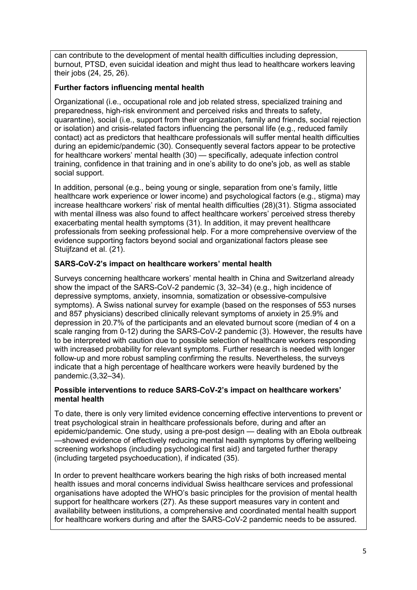can contribute to the development of mental health difficulties including depression, burnout, PTSD, even suicidal ideation and might thus lead to healthcare workers leaving their jobs [\(24, 25, 26\).](http://sciwheel.com/work/citation?ids=8882406,8599064&pre=&pre=&suf=&suf=&sa=0,0)

#### **Further factors influencing mental health**

Organizational (i.e., occupational role and job related stress, specialized training and preparedness, high-risk environment and perceived risks and threats to safety, quarantine), social (i.e., support from their organization, family and friends, social rejection or isolation) and crisis-related factors influencing the personal life (e.g., reduced family contact) act as predictors that healthcare professionals will suffer mental health difficulties during an epidemic/pandemic [\(30\).](http://sciwheel.com/work/citation?ids=8490507&pre=&suf=&sa=0) Consequently several factors appear to be protective for healthcare workers' mental health [\(30\)](http://sciwheel.com/work/citation?ids=8490507&pre=&suf=&sa=0) — specifically, adequate infection control training, confidence in that training and in one's ability to do one's job, as well as stable social support.

In addition, personal (e.g., being young or single, separation from one's family, little healthcare work experience or lower income) and psychological factors (e.g., stigma) may increase healthcare workers' risk of mental health difficulties (28[\)\(31\).](http://sciwheel.com/work/citation?ids=8490502&pre=&suf=&sa=0) Stigma associated with mental illness was also found to affect healthcare workers' perceived stress thereby exacerbating mental health symptoms [\(31\).](http://sciwheel.com/work/citation?ids=8490502&pre=&suf=&sa=0) In addition, it may prevent healthcare professionals from seeking professional help. For a more comprehensive overview of the evidence supporting factors beyond social and organizational factors please see Stuijfzand et al. [\(21\).](http://sciwheel.com/work/citation?ids=8901646&pre=&suf=&sa=0)

#### **SARS-CoV-2's impact on healthcare workers' mental health**

Surveys concerning healthcare workers' mental health in China and Switzerland already show the impact of the SARS-CoV-2 pandemic [\(3, 32](http://sciwheel.com/work/citation?ids=8882464,8534882,8496349,8726732&pre=&pre=&pre=&pre=&suf=&suf=&suf=&suf=&sa=0,0,0,0)–34) (e.g., high incidence of depressive symptoms, anxiety, insomnia, somatization or obsessive-compulsive symptoms). A Swiss national survey for example (based on the responses of 553 nurses and 857 physicians) described clinically relevant symptoms of anxiety in 25.9% and depression in 20.7% of the participants and an elevated burnout score (median of 4 on a scale ranging from 0-12) during the SARS-CoV-2 pandemic (3). However, the results have to be interpreted with caution due to possible selection of healthcare workers responding with increased probability for relevant symptoms. Further research is needed with longer follow-up and more robust sampling confirming the results. Nevertheless, the surveys indicate that a high percentage of healthcare workers were heavily burdened by the pandemic[.\(3,32](http://sciwheel.com/work/citation?ids=8882464,8534882,8496349,8726732&pre=&pre=&pre=&pre=&suf=&suf=&suf=&suf=&sa=0,0,0,0)–34).

#### **Possible interventions to reduce SARS-CoV-2's impact on healthcare workers' mental health**

To date, there is only very limited evidence concerning effective interventions to prevent or treat psychological strain in healthcare professionals before, during and after an epidemic/pandemic. One study, using a pre-post design — dealing with an Ebola outbreak —showed evidence of effectively reducing mental health symptoms by offering wellbeing screening workshops (including psychological first aid) and targeted further therapy (including targeted psychoeducation), if indicated [\(35\).](http://sciwheel.com/work/citation?ids=8882477&pre=&suf=&sa=0)

In order to prevent healthcare workers bearing the high risks of both increased mental health issues and moral concerns individual Swiss healthcare services and professional organisations have adopted the WHO's basic principles for the provision of mental health support for healthcare workers [\(27\).](http://sciwheel.com/work/citation?ids=8882442&pre=&suf=&sa=0) As these support measures vary in content and availability between institutions, a comprehensive and coordinated mental health support for healthcare workers during and after the SARS-CoV-2 pandemic needs to be assured.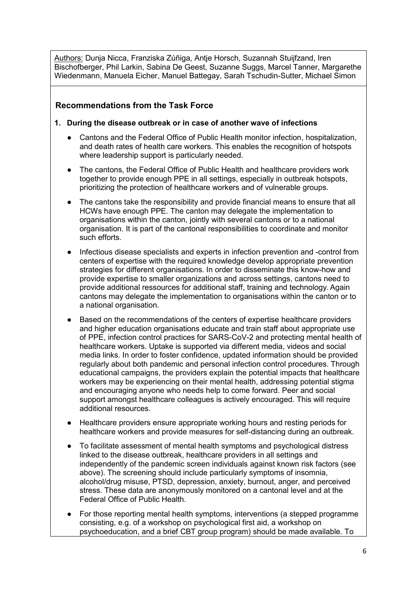Authors: Dunja Nicca, Franziska Zúñiga, Antje Horsch, Suzannah Stuijfzand, Iren Bischofberger, Phil Larkin, Sabina De Geest, Suzanne Suggs, Marcel Tanner, Margarethe Wiedenmann, Manuela Eicher, Manuel Battegay, Sarah Tschudin-Sutter, Michael Simon

# **Recommendations from the Task Force**

- **1. During the disease outbreak or in case of another wave of infections**
	- Cantons and the Federal Office of Public Health monitor infection, hospitalization, and death rates of health care workers. This enables the recognition of hotspots where leadership support is particularly needed.
	- The cantons, the Federal Office of Public Health and healthcare providers work together to provide enough PPE in all settings, especially in outbreak hotspots, prioritizing the protection of healthcare workers and of vulnerable groups.
	- The cantons take the responsibility and provide financial means to ensure that all HCWs have enough PPE. The canton may delegate the implementation to organisations within the canton, jointly with several cantons or to a national organisation. It is part of the cantonal responsibilities to coordinate and monitor such efforts.
	- Infectious disease specialists and experts in infection prevention and -control from centers of expertise with the required knowledge develop appropriate prevention strategies for different organisations. In order to disseminate this know-how and provide expertise to smaller organizations and across settings, cantons need to provide additional ressources for additional staff, training and technology.Again cantons may delegate the implementation to organisations within the canton or to a national organisation.
	- Based on the recommendations of the centers of expertise healthcare providers and higher education organisations educate and train staff about appropriate use of PPE, infection control practices for SARS-CoV-2 and protecting mental health of healthcare workers. Uptake is supported via different media, videos and social media links. In order to foster confidence, updated information should be provided regularly about both pandemic and personal infection control procedures. Through educational campaigns, the providers explain the potential impacts that healthcare workers may be experiencing on their mental health, addressing potential stigma and encouraging anyone who needs help to come forward. Peer and social support amongst healthcare colleagues is actively encouraged. This will require additional resources.
	- Healthcare providers ensure appropriate working hours and resting periods for healthcare workers and provide measures for self-distancing during an outbreak.
	- To facilitate assessment of mental health symptoms and psychological distress linked to the disease outbreak, healthcare providers in all settings and independently of the pandemic screen individuals against known risk factors (see above). The screening should include particularly symptoms of insomnia, alcohol/drug misuse, PTSD, depression, anxiety, burnout, anger, and perceived stress. These data are anonymously monitored on a cantonal level and at the Federal Office of Public Health.
	- For those reporting mental health symptoms, interventions (a stepped programme consisting, e.g. of a workshop on psychological first aid, a workshop on psychoeducation, and a brief CBT group program) should be made available. To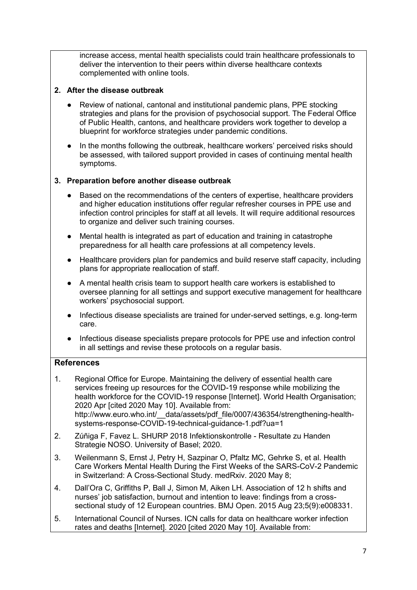increase access, mental health specialists could train healthcare professionals to deliver the intervention to their peers within diverse healthcare contexts complemented with online tools.

### **2. After the disease outbreak**

- Review of national, cantonal and institutional pandemic plans, PPE stocking strategies and plans for the provision of psychosocial support. The Federal Office of Public Health, cantons, and healthcare providers work together to develop a blueprint for workforce strategies under pandemic conditions.
- In the months following the outbreak, healthcare workers' perceived risks should be assessed, with tailored support provided in cases of continuing mental health symptoms.

## **3. Preparation before another disease outbreak**

- Based on the recommendations of the centers of expertise, healthcare providers and higher education institutions offer regular refresher courses in PPE use and infection control principles for staff at all levels. It will require additional resources to organize and deliver such training courses.
- Mental health is integrated as part of education and training in catastrophe preparedness for all health care professions at all competency levels.
- Healthcare providers plan for pandemics and build reserve staff capacity, including plans for appropriate reallocation of staff.
- A mental health crisis team to support health care workers is established to oversee planning for all settings and support executive management for healthcare workers' psychosocial support.
- Infectious disease specialists are trained for under-served settings, e.g. long-term care.
- Infectious disease specialists prepare protocols for PPE use and infection control in all settings and revise these protocols on a regular basis.

# **References**

- [1. Regional Office for Europe. Maintaining the delivery of essential health care](http://sciwheel.com/work/bibliography/8880265)  [services freeing up resources for the COVID-19 response while mobilizing the](http://sciwheel.com/work/bibliography/8880265)  [health workforce for the COVID-19 response \[Internet\]. World Health Organisation;](http://sciwheel.com/work/bibliography/8880265)  [2020 Apr \[cited 2020 May 10\]. Available from:](http://sciwheel.com/work/bibliography/8880265)  http://www.euro.who.int/ data/assets/pdf file/0007/436354/strengthening-health[systems-response-COVID-19-technical-guidance-1.pdf?ua=1](http://sciwheel.com/work/bibliography/8880265)
- [2. Zúñiga F, Favez L. SHURP 2018 Infektionskontrolle -](http://sciwheel.com/work/bibliography/8882025) Resultate zu Handen [Strategie NOSO. University of Basel; 2020.](http://sciwheel.com/work/bibliography/8882025)
- [3. Weilenmann S, Ernst J, Petry H, Sazpinar O, Pfaltz MC, Gehrke S, et al. Health](http://sciwheel.com/work/bibliography/8882464)  [Care Workers Mental Health During the First Weeks of the SARS-CoV-2 Pandemic](http://sciwheel.com/work/bibliography/8882464)  [in Switzerland: A Cross-Sectional Study. medRxiv. 2020 May 8;](http://sciwheel.com/work/bibliography/8882464)
- 4. [Dall'Ora C, Griffiths P, Ball J, Simon M, Aiken LH. Association of 12 h](http://sciwheel.com/work/bibliography/3946300) shifts and [nurses' job satisfaction, burnout and intention to leave: findings from a cross](http://sciwheel.com/work/bibliography/3946300)[sectional study of 12 European countries. BMJ Open. 2015 Aug 23;5\(9\):e008331.](http://sciwheel.com/work/bibliography/3946300)
- [5. International Council of Nurses. ICN calls for data on healthcare worker infection](http://sciwheel.com/work/bibliography/8880274)  [rates and deaths \[Internet\]. 2020 \[cited 2020 May 10\]. Available from:](http://sciwheel.com/work/bibliography/8880274)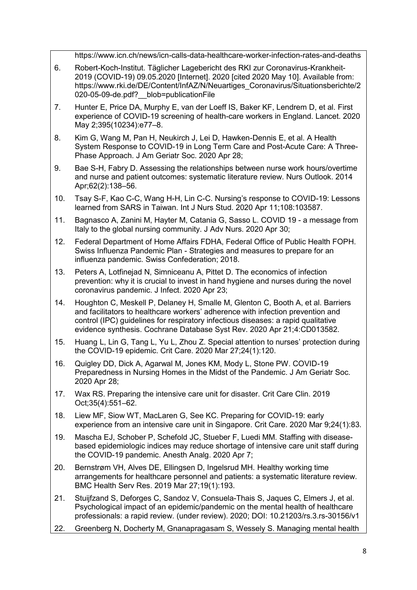[https://www.icn.ch/news/icn-calls-data-healthcare-worker-infection-rates-and-deaths](http://sciwheel.com/work/bibliography/8880274)

- [6. Robert-Koch-Institut. Täglicher Lagebericht des RKI zur Coronavirus-Krankheit-](http://sciwheel.com/work/bibliography/8880280)[2019 \(COVID-19\) 09.05.2020 \[Internet\]. 2020 \[cited 2020 May 10\]. Available from:](http://sciwheel.com/work/bibliography/8880280)  [https://www.rki.de/DE/Content/InfAZ/N/Neuartiges\\_Coronavirus/Situationsberichte/2](http://sciwheel.com/work/bibliography/8880280) 020-05-09-de.pdf? blob=publicationFile
- [7. Hunter E, Price DA, Murphy E, van der Loeff IS, Baker KF, Lendrem D, et al. First](http://sciwheel.com/work/bibliography/8772112)  [experience of COVID-19 screening of health-care workers in England. Lancet. 2020](http://sciwheel.com/work/bibliography/8772112)  [May 2;395\(10234\):e77](http://sciwheel.com/work/bibliography/8772112)–8.
- [8. Kim G, Wang M, Pan H, Neukirch J, Lei D, Hawken-Dennis E, et al. A](http://sciwheel.com/work/bibliography/8902566) Health [System Response to COVID-19 in Long Term Care and Post-Acute Care: A Three-](http://sciwheel.com/work/bibliography/8902566)[Phase Approach. J Am Geriatr Soc. 2020 Apr 28;](http://sciwheel.com/work/bibliography/8902566)
- 9. Bae S-H, Fabry [D. Assessing the relationships between nurse work hours/overtime](http://sciwheel.com/work/bibliography/7471591)  [and nurse and patient outcomes: systematic literature review. Nurs Outlook. 2014](http://sciwheel.com/work/bibliography/7471591)  [Apr;62\(2\):138](http://sciwheel.com/work/bibliography/7471591)–56.
- [10. Tsay S-F, Kao C-C, Wang H-H, Lin C-](http://sciwheel.com/work/bibliography/8902577)C. Nursing's response to COVID-19: Lessons [learned from SARS in Taiwan. Int J Nurs Stud. 2020 Apr 11;108:103587.](http://sciwheel.com/work/bibliography/8902577)
- [11. Bagnasco A, Zanini M, Hayter M, Catania G, Sasso L. COVID 19 -](http://sciwheel.com/work/bibliography/8902574) a message from [Italy to the global nursing community. J Adv Nurs. 2020 Apr 30;](http://sciwheel.com/work/bibliography/8902574)
- [12. Federal Department of Home Affairs FDHA, Federal Office of Public Health FOPH.](http://sciwheel.com/work/bibliography/8897589)  Swiss Influenza Pandemic Plan - [Strategies and measures to prepare for an](http://sciwheel.com/work/bibliography/8897589)  [influenza pandemic. Swiss Confederation; 2018.](http://sciwheel.com/work/bibliography/8897589)
- [13. Peters A, Lotfinejad N, Simniceanu A, Pittet](http://sciwheel.com/work/bibliography/8771897) D. The economics of infection [prevention: why it is crucial to invest in hand hygiene and nurses during the novel](http://sciwheel.com/work/bibliography/8771897)  [coronavirus pandemic. J Infect. 2020 Apr 23;](http://sciwheel.com/work/bibliography/8771897)
- [14. Houghton C, Meskell P, Delaney H, Smalle M, Glenton C, Booth A, et al. Barriers](http://sciwheel.com/work/bibliography/8773657)  [and facilitators to healthcare workers' adherence with infection prevention and](http://sciwheel.com/work/bibliography/8773657)  [control \(IPC\) guidelines for respiratory infectious diseases: a rapid qualitative](http://sciwheel.com/work/bibliography/8773657)  [evidence synthesis. Cochrane Database Syst Rev. 2020 Apr 21;4:CD013582.](http://sciwheel.com/work/bibliography/8773657)
- 15. [Huang L, Lin G, Tang L, Yu L, Zhou Z. Special attention to nurses' protection during](http://sciwheel.com/work/bibliography/8599358)  [the COVID-19 epidemic. Crit Care. 2020 Mar 27;24\(1\):120.](http://sciwheel.com/work/bibliography/8599358)
- [16. Quigley DD, Dick A, Agarwal M, Jones KM, Mody L, Stone PW. COVID-19](http://sciwheel.com/work/bibliography/8903137)  [Preparedness in Nursing Homes in the Midst of the Pandemic. J Am Geriatr Soc.](http://sciwheel.com/work/bibliography/8903137)  [2020 Apr 28;](http://sciwheel.com/work/bibliography/8903137)
- [17. Wax RS. Preparing the intensive care unit for disaster. Crit Care Clin. 2019](http://sciwheel.com/work/bibliography/8496386)  [Oct;35\(4\):551](http://sciwheel.com/work/bibliography/8496386)–62.
- [18. Liew MF, Siow WT, MacLaren G, See KC. Preparing for COVID-19: early](http://sciwheel.com/work/bibliography/8415682)  [experience from an intensive care unit in Singapore. Crit Care. 2020 Mar 9;24\(1\):83.](http://sciwheel.com/work/bibliography/8415682)
- [19. Mascha EJ, Schober P, Schefold JC, Stueber F, Luedi MM. Staffing with disease](http://sciwheel.com/work/bibliography/8881918)[based epidemiologic indices may reduce shortage of intensive care unit staff during](http://sciwheel.com/work/bibliography/8881918)  [the COVID-19 pandemic. Anesth Analg. 2020 Apr 7;](http://sciwheel.com/work/bibliography/8881918)
- [20. Bernstrøm VH, Alves DE, Ellingsen D, Ingelsrud MH. Healthy working time](http://sciwheel.com/work/bibliography/8881915)  [arrangements for healthcare personnel and patients: a systematic literature review.](http://sciwheel.com/work/bibliography/8881915)  [BMC Health Serv Res. 2019 Mar 27;19\(1\):193.](http://sciwheel.com/work/bibliography/8881915)
- [21. Stuijfzand S, Deforges C, Sandoz V, Consuela-Thais S, Jaques C, Elmers J, et al.](http://sciwheel.com/work/bibliography/8901646)  [Psychological impact of an epidemic/pandemic on the mental health of healthcare](http://sciwheel.com/work/bibliography/8901646)  [professionals: a rapid review. \(under review\). 2020;](http://sciwheel.com/work/bibliography/8901646) DOI: 10.21203/rs.3.rs-30156/v1
- [22. Greenberg N, Docherty M, Gnanapragasam S, Wessely S. Managing mental health](http://sciwheel.com/work/bibliography/8519962)